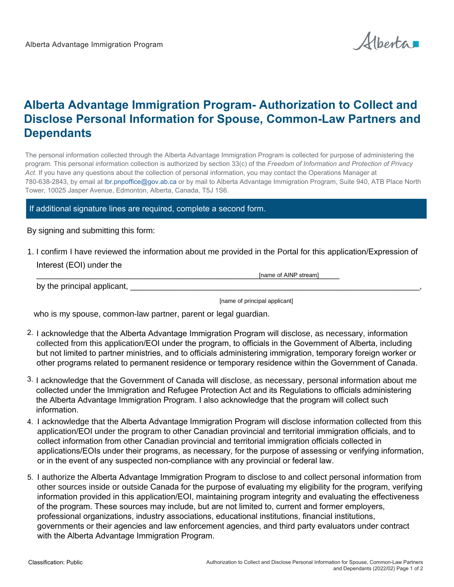Alberta

## **Alberta Advantage Immigration Program- Authorization to Collect and Disclose Personal Information for Spouse, Common-Law Partners and Dependants**

The personal information collected through the Alberta Advantage Immigration Program is collected for purpose of administering the program. This personal information collection is authorized by section 33(c) of the *Freedom of Information and Protection of Privacy Act*. If you have any questions about the collection of personal information, you may contact the Operations Manager at 780-638-2843, by email at lbr.pnpoffice@gov.ab.ca or by mail to Alberta Advantage Immigration Program, Suite 940, ATB Place North Tower, 10025 Jasper Avenue, Edmonton, Alberta, Canada, T5J 1S6.

## If additional signature lines are required, complete a second form.

By signing and submitting this form:

1. I confirm I have reviewed the information about me provided in the Portal for this application/Expression of Interest (EOI) under the

[name of AINP stream]

by the principal applicant,  $\Box$ 

[name of principal applicant]

who is my spouse, common-law partner, parent or legal guardian.

- 2. I acknowledge that the Alberta Advantage Immigration Program will disclose, as necessary, information collected from this application/EOI under the program, to officials in the Government of Alberta, including but not limited to partner ministries, and to officials administering immigration, temporary foreign worker or other programs related to permanent residence or temporary residence within the Government of Canada.
- 3. I acknowledge that the Government of Canada will disclose, as necessary, personal information about me collected under the Immigration and Refugee Protection Act and its Regulations to officials administering the Alberta Advantage Immigration Program. I also acknowledge that the program will collect such information.
- 4. I acknowledge that the Alberta Advantage Immigration Program will disclose information collected from this application/EOI under the program to other Canadian provincial and territorial immigration officials, and to collect information from other Canadian provincial and territorial immigration officials collected in applications/EOIs under their programs, as necessary, for the purpose of assessing or verifying information, or in the event of any suspected non-compliance with any provincial or federal law.
- 5. I authorize the Alberta Advantage Immigration Program to disclose to and collect personal information from other sources inside or outside Canada for the purpose of evaluating my eligibility for the program, verifying information provided in this application/EOI, maintaining program integrity and evaluating the effectiveness of the program. These sources may include, but are not limited to, current and former employers, professional organizations, industry associations, educational institutions, financial institutions, governments or their agencies and law enforcement agencies, and third party evaluators under contract with the Alberta Advantage Immigration Program.